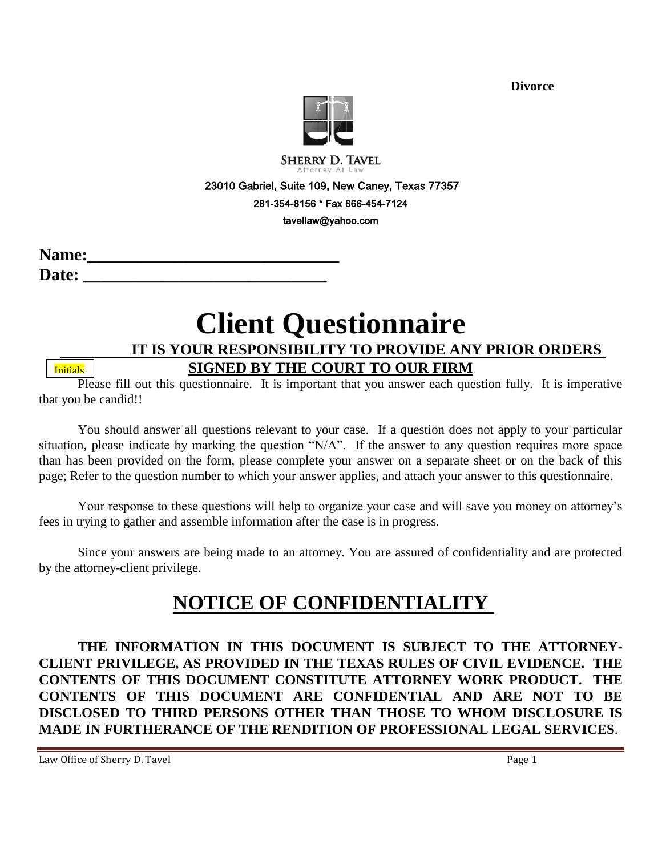

**SHERRY D. TAVEL** 

23010 Gabriel, Suite 109, New Caney, Texas 77357

281-354-8156 \* Fax 866-454-7124

tavellaw@yahoo.com

| <b>Name:</b> |  |
|--------------|--|
| <b>Date:</b> |  |

# **Client Questionnaire**

 **IT IS YOUR RESPONSIBILITY TO PROVIDE ANY PRIOR ORDERS** 

**Initials** 

#### **SIGNED BY THE COURT TO OUR FIRM**

Please fill out this questionnaire. It is important that you answer each question fully. It is imperative that you be candid!!

You should answer all questions relevant to your case. If a question does not apply to your particular situation, please indicate by marking the question "N/A". If the answer to any question requires more space than has been provided on the form, please complete your answer on a separate sheet or on the back of this page; Refer to the question number to which your answer applies, and attach your answer to this questionnaire.

Your response to these questions will help to organize your case and will save you money on attorney's fees in trying to gather and assemble information after the case is in progress.

Since your answers are being made to an attorney. You are assured of confidentiality and are protected by the attorney-client privilege.

## **NOTICE OF CONFIDENTIALITY**

**THE INFORMATION IN THIS DOCUMENT IS SUBJECT TO THE ATTORNEY-CLIENT PRIVILEGE, AS PROVIDED IN THE TEXAS RULES OF CIVIL EVIDENCE. THE CONTENTS OF THIS DOCUMENT CONSTITUTE ATTORNEY WORK PRODUCT. THE CONTENTS OF THIS DOCUMENT ARE CONFIDENTIAL AND ARE NOT TO BE DISCLOSED TO THIRD PERSONS OTHER THAN THOSE TO WHOM DISCLOSURE IS MADE IN FURTHERANCE OF THE RENDITION OF PROFESSIONAL LEGAL SERVICES**.

Law Office of Sherry D. Tavel **Page 1** and  $\overline{P}$  and  $\overline{P}$  and  $\overline{P}$  and  $\overline{P}$  and  $\overline{P}$  and  $\overline{P}$  and  $\overline{P}$  and  $\overline{P}$  and  $\overline{P}$  and  $\overline{P}$  and  $\overline{P}$  and  $\overline{P}$  and  $\overline{P}$  and  $\overline{P}$  a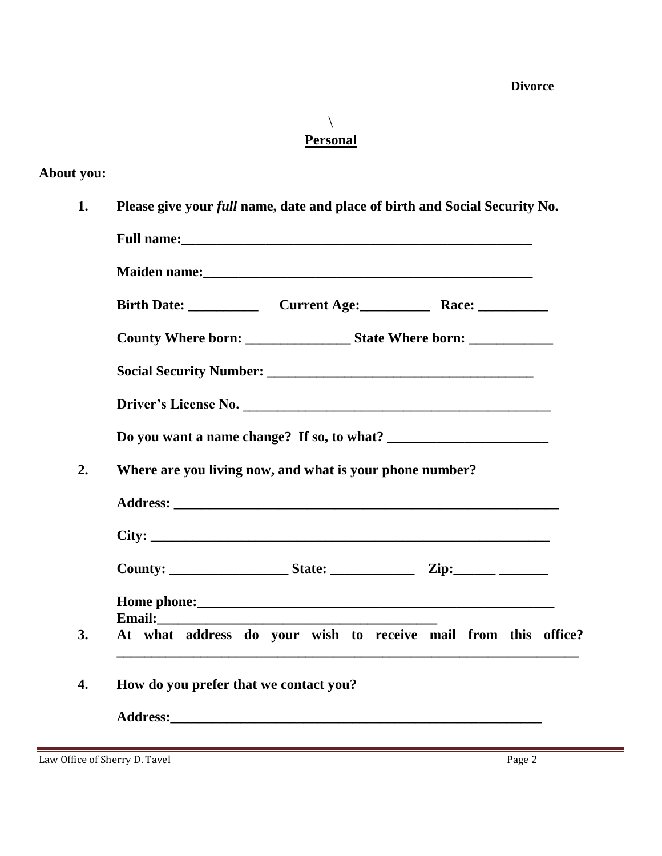$\setminus$ **Personal**

#### **About you:**

**1. Please give your** *full* **name, date and place of birth and Social Security No.**

|        | Driver's License No.                                                                                                                                |  |
|--------|-----------------------------------------------------------------------------------------------------------------------------------------------------|--|
|        |                                                                                                                                                     |  |
|        | Where are you living now, and what is your phone number?                                                                                            |  |
|        |                                                                                                                                                     |  |
|        |                                                                                                                                                     |  |
|        |                                                                                                                                                     |  |
|        |                                                                                                                                                     |  |
|        |                                                                                                                                                     |  |
| Email: |                                                                                                                                                     |  |
|        | At what address do your wish to receive mail from this office?<br>,我们也不能在这里的时候,我们也不能在这里的时候,我们也不能会在这里的时候,我们也不能会在这里的时候,我们也不能会在这里的时候,我们也不能会在这里的时候,我们也不 |  |

Law Office of Sherry D. Tavel Page 2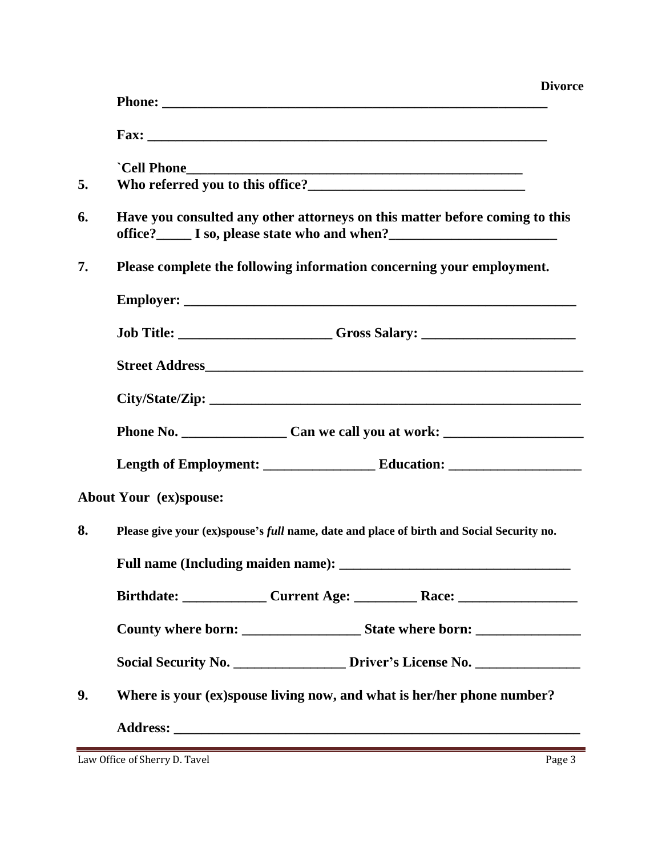|    | <b>Divorce</b>                                                                                                                                                   |
|----|------------------------------------------------------------------------------------------------------------------------------------------------------------------|
|    |                                                                                                                                                                  |
| 5. | Who referred you to this office?<br><u> </u>                                                                                                                     |
| 6. | Have you consulted any other attorneys on this matter before coming to this<br>office?________ I so, please state who and when?_________________________________ |
| 7. | Please complete the following information concerning your employment.                                                                                            |
|    |                                                                                                                                                                  |
|    | Job Title: _____________________Gross Salary: __________________________________                                                                                 |
|    |                                                                                                                                                                  |
|    |                                                                                                                                                                  |
|    |                                                                                                                                                                  |
|    |                                                                                                                                                                  |
|    | About Your (ex)spouse:                                                                                                                                           |
| 8. | Please give your (ex)spouse's full name, date and place of birth and Social Security no.                                                                         |
|    | Full name (Including maiden name): ______                                                                                                                        |
|    |                                                                                                                                                                  |
|    |                                                                                                                                                                  |
|    | Social Security No. __________________ Driver's License No. ____________________                                                                                 |
| 9. | Where is your (ex)spouse living now, and what is her/her phone number?                                                                                           |
|    |                                                                                                                                                                  |

Law Office of Sherry D. Tavel Page 3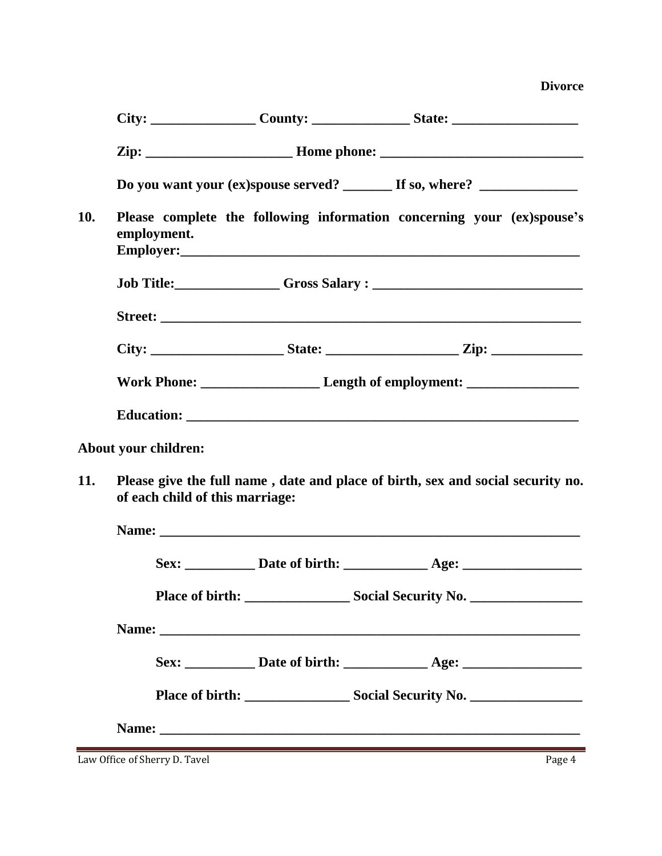|            |                                                                                                                    |  | Do you want your (ex)spouse served? _________ If so, where? ____________________                                                                                                                                              |  |
|------------|--------------------------------------------------------------------------------------------------------------------|--|-------------------------------------------------------------------------------------------------------------------------------------------------------------------------------------------------------------------------------|--|
| 10.        | employment.                                                                                                        |  | Please complete the following information concerning your (ex)spouse's                                                                                                                                                        |  |
|            |                                                                                                                    |  |                                                                                                                                                                                                                               |  |
|            |                                                                                                                    |  |                                                                                                                                                                                                                               |  |
|            |                                                                                                                    |  |                                                                                                                                                                                                                               |  |
|            |                                                                                                                    |  |                                                                                                                                                                                                                               |  |
|            |                                                                                                                    |  |                                                                                                                                                                                                                               |  |
|            | About your children:                                                                                               |  |                                                                                                                                                                                                                               |  |
| <b>11.</b> | Please give the full name, date and place of birth, sex and social security no.<br>of each child of this marriage: |  |                                                                                                                                                                                                                               |  |
|            |                                                                                                                    |  | Name: Name: Name: Name: Name: Name: Name: Name: Name: Name: Name: Name: Name: Name: Name: Name: Name: Name: Name: Name: Name: Name: Name: Name: Name: Name: Name: Name: Name: Name: Name: Name: Name: Name: Name: Name: Name: |  |
|            |                                                                                                                    |  |                                                                                                                                                                                                                               |  |
|            |                                                                                                                    |  |                                                                                                                                                                                                                               |  |
|            |                                                                                                                    |  |                                                                                                                                                                                                                               |  |
|            |                                                                                                                    |  |                                                                                                                                                                                                                               |  |
|            |                                                                                                                    |  |                                                                                                                                                                                                                               |  |
|            |                                                                                                                    |  |                                                                                                                                                                                                                               |  |
|            | Law Office of Sherry D. Tavel                                                                                      |  | ,我们也不会有什么。""我们的人,我们也不会有什么?""我们的人,我们也不会有什么?""我们的人,我们也不会有什么?""我们的人,我们也不会有什么?""我们的人<br>Page 4                                                                                                                                    |  |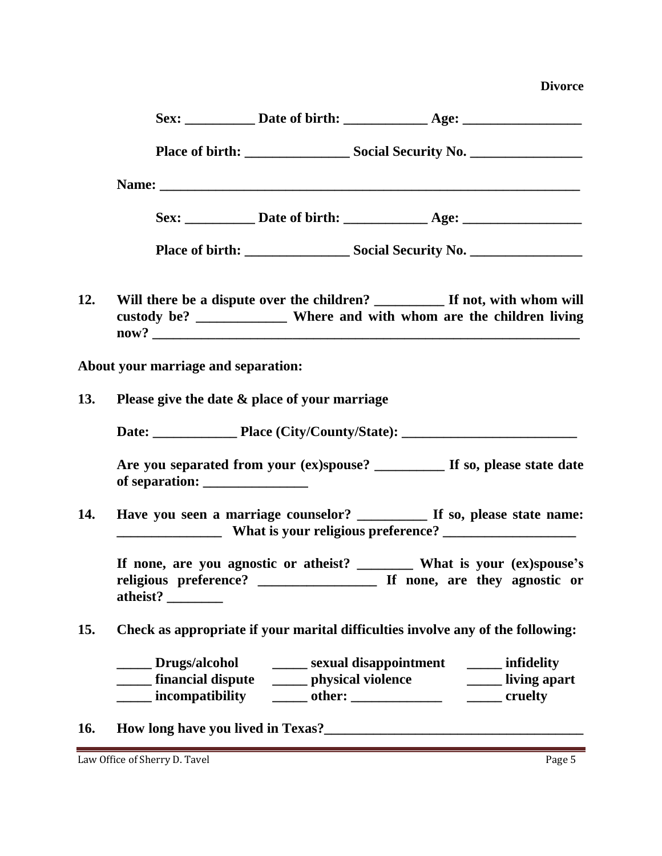|     |                                            | Name: experience and the contract of the contract of the contract of the contract of the contract of the contract of the contract of the contract of the contract of the contract of the contract of the contract of the contr |                                                   |                                                                                                                                                         |
|-----|--------------------------------------------|--------------------------------------------------------------------------------------------------------------------------------------------------------------------------------------------------------------------------------|---------------------------------------------------|---------------------------------------------------------------------------------------------------------------------------------------------------------|
|     |                                            |                                                                                                                                                                                                                                |                                                   |                                                                                                                                                         |
|     |                                            |                                                                                                                                                                                                                                |                                                   |                                                                                                                                                         |
| 12. |                                            |                                                                                                                                                                                                                                |                                                   | Will there be a dispute over the children? __________ If not, with whom will<br>custody be? _______________ Where and with whom are the children living |
|     | <b>About your marriage and separation:</b> |                                                                                                                                                                                                                                |                                                   |                                                                                                                                                         |
| 13. |                                            | Please give the date & place of your marriage                                                                                                                                                                                  |                                                   |                                                                                                                                                         |
|     |                                            |                                                                                                                                                                                                                                |                                                   |                                                                                                                                                         |
|     |                                            |                                                                                                                                                                                                                                |                                                   | Are you separated from your (ex)spouse? _________ If so, please state date                                                                              |
| 14. |                                            |                                                                                                                                                                                                                                |                                                   | Have you seen a marriage counselor? __________ If so, please state name:                                                                                |
|     | atheist?                                   |                                                                                                                                                                                                                                |                                                   |                                                                                                                                                         |
| 15. |                                            | Check as appropriate if your marital difficulties involve any of the following:                                                                                                                                                |                                                   |                                                                                                                                                         |
|     | Drugs/alcohol<br>incompatibility           | ______ financial dispute ________ physical violence _________________ living apart                                                                                                                                             | _______ sexual disappointment ________ infidelity |                                                                                                                                                         |

## **16. How long have you lived in Texas?\_\_\_\_\_\_\_\_\_\_\_\_\_\_\_\_\_\_\_\_\_\_\_\_\_\_\_\_\_\_\_\_\_\_\_\_\_**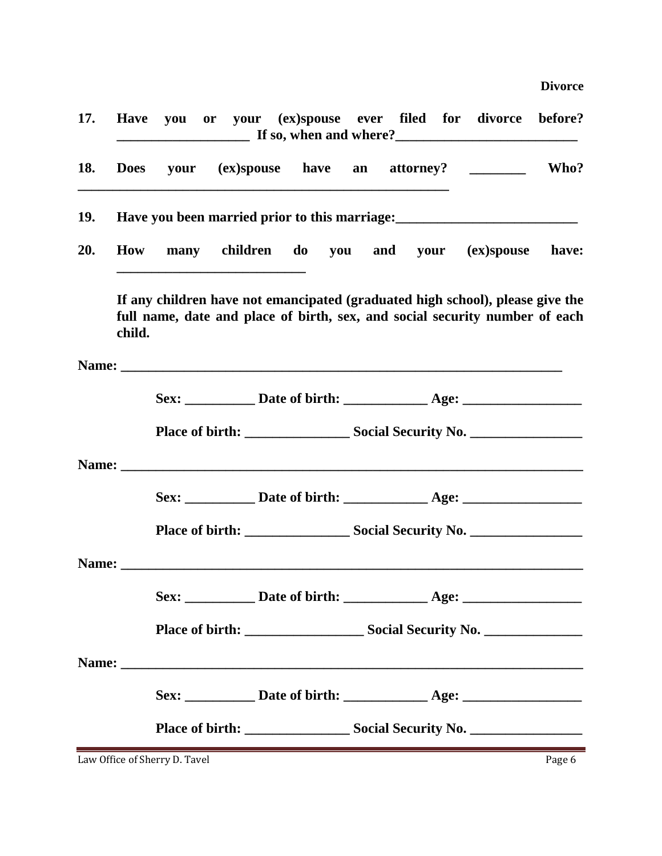| <b>17.</b> |        |  |  |  | Have you or your (ex)spouse ever filed for divorce before?                                                                                                                                                                          |  |
|------------|--------|--|--|--|-------------------------------------------------------------------------------------------------------------------------------------------------------------------------------------------------------------------------------------|--|
| 18.        |        |  |  |  | Does your (ex)spouse have an attorney? _______ Who?                                                                                                                                                                                 |  |
| 19.        |        |  |  |  |                                                                                                                                                                                                                                     |  |
| 20.        |        |  |  |  | How many children do you and your (ex)spouse have:                                                                                                                                                                                  |  |
|            | child. |  |  |  | If any children have not emancipated (graduated high school), please give the<br>full name, date and place of birth, sex, and social security number of each                                                                        |  |
|            |        |  |  |  | Name: <u>Name:</u> 2006. Experimental contract of the contract of the contract of the contract of the contract of the contract of the contract of the contract of the contract of the contract of the contract of the contract of t |  |
|            |        |  |  |  | Sex: _____________ Date of birth: ________________ Age: ________________________                                                                                                                                                    |  |
|            |        |  |  |  |                                                                                                                                                                                                                                     |  |
|            |        |  |  |  |                                                                                                                                                                                                                                     |  |
|            |        |  |  |  |                                                                                                                                                                                                                                     |  |
|            |        |  |  |  |                                                                                                                                                                                                                                     |  |
|            |        |  |  |  |                                                                                                                                                                                                                                     |  |
|            |        |  |  |  | Sex: ______________ Date of birth: ________________ Age: _______________________                                                                                                                                                    |  |
|            |        |  |  |  |                                                                                                                                                                                                                                     |  |
|            |        |  |  |  |                                                                                                                                                                                                                                     |  |
|            |        |  |  |  |                                                                                                                                                                                                                                     |  |
|            |        |  |  |  |                                                                                                                                                                                                                                     |  |

Law Office of Sherry D. Tavel **Page 6** Page 6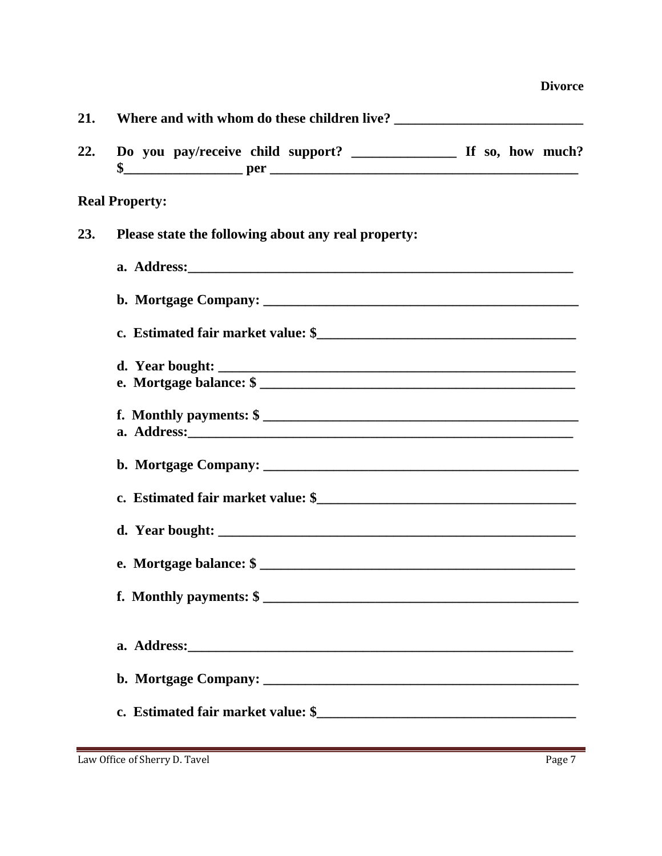|  | <b>Divorce</b> |
|--|----------------|
|  |                |

| 21. |                       |                                                     |  |  |  |  |  |
|-----|-----------------------|-----------------------------------------------------|--|--|--|--|--|
| 22. |                       |                                                     |  |  |  |  |  |
|     | <b>Real Property:</b> |                                                     |  |  |  |  |  |
| 23. |                       | Please state the following about any real property: |  |  |  |  |  |
|     |                       |                                                     |  |  |  |  |  |
|     |                       |                                                     |  |  |  |  |  |
|     |                       |                                                     |  |  |  |  |  |
|     |                       | d. Year bought:                                     |  |  |  |  |  |
|     |                       |                                                     |  |  |  |  |  |
|     |                       | f. Monthly payments: $\frac{1}{2}$                  |  |  |  |  |  |
|     |                       |                                                     |  |  |  |  |  |
|     |                       |                                                     |  |  |  |  |  |
|     |                       |                                                     |  |  |  |  |  |
|     |                       |                                                     |  |  |  |  |  |
|     |                       | e. Mortgage balance: \$                             |  |  |  |  |  |
|     |                       | f. Monthly payments: $\frac{1}{2}$                  |  |  |  |  |  |
|     |                       |                                                     |  |  |  |  |  |
|     |                       |                                                     |  |  |  |  |  |
|     |                       |                                                     |  |  |  |  |  |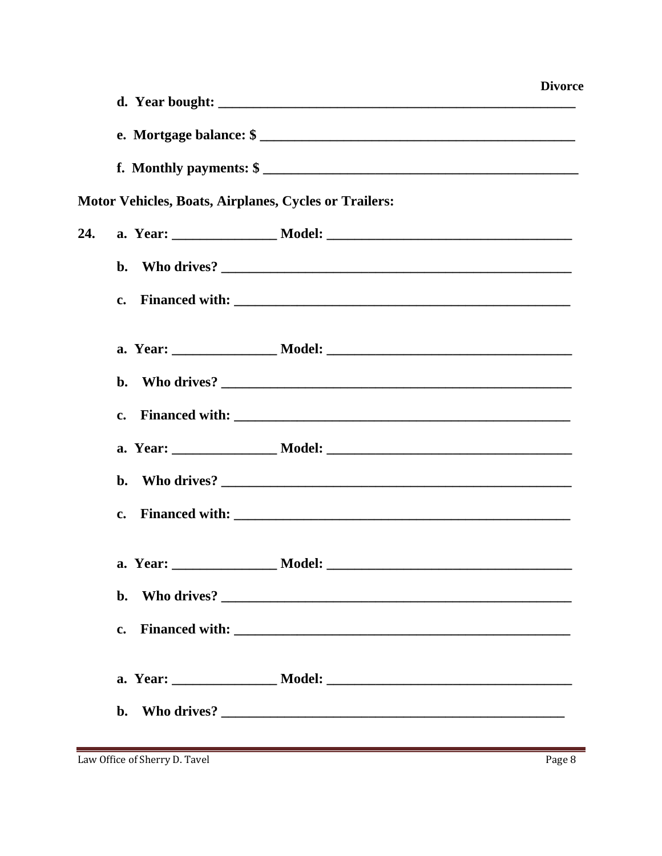|     |                                                              | <b>Divorce</b> |
|-----|--------------------------------------------------------------|----------------|
|     |                                                              |                |
|     |                                                              |                |
|     |                                                              |                |
|     | <b>Motor Vehicles, Boats, Airplanes, Cycles or Trailers:</b> |                |
| 24. |                                                              |                |
|     |                                                              |                |
|     | $c_{\bullet}$                                                |                |
|     |                                                              |                |
|     |                                                              |                |
|     |                                                              |                |
|     |                                                              |                |
|     | b.                                                           |                |
|     | $\mathbf{c}$ .                                               |                |
|     |                                                              |                |
|     | $\mathbf{b}$ .                                               |                |
|     | $\mathbf{c}$ .                                               |                |
|     |                                                              |                |
|     | $\mathbf{b}$ .                                               |                |

Law Office of Sherry D. Tavel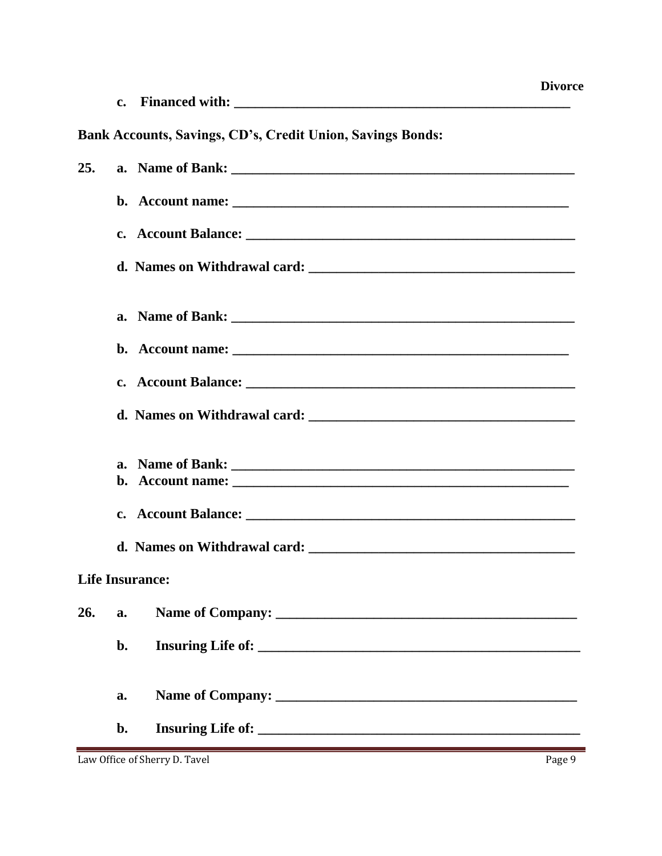| Financed with: |  |
|----------------|--|
|                |  |

### Bank Accounts, Savings, CD's, Credit Union, Savings Bonds:

| 25.                    |    |  |
|------------------------|----|--|
|                        |    |  |
|                        |    |  |
|                        |    |  |
|                        |    |  |
|                        |    |  |
|                        |    |  |
|                        |    |  |
|                        |    |  |
|                        |    |  |
|                        |    |  |
|                        |    |  |
| <b>Life Insurance:</b> |    |  |
| 26.                    | a. |  |
|                        |    |  |
|                        |    |  |
|                        | a. |  |
|                        | b. |  |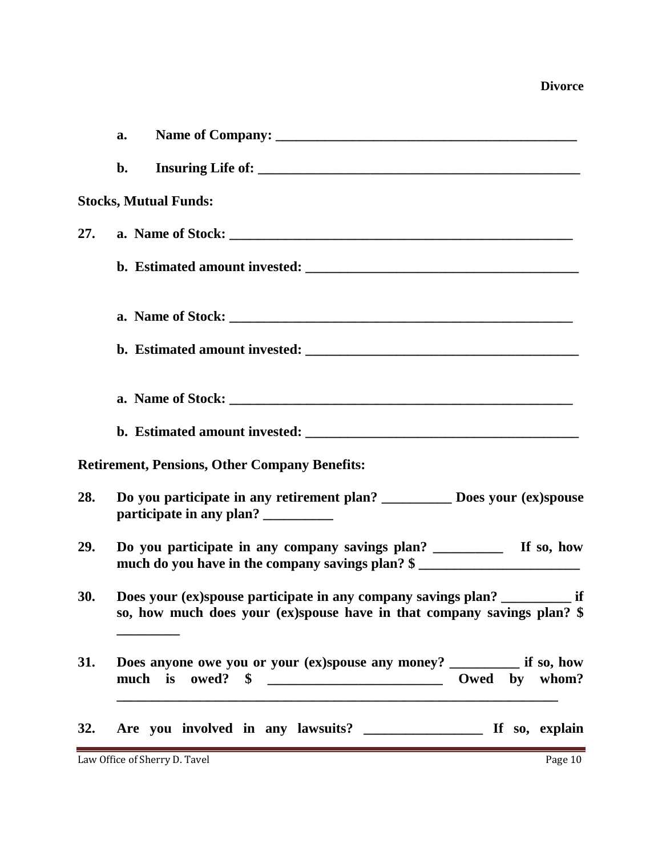|            | a.                                                                                                                                                       |
|------------|----------------------------------------------------------------------------------------------------------------------------------------------------------|
|            | $b$ .                                                                                                                                                    |
|            | <b>Stocks, Mutual Funds:</b>                                                                                                                             |
| 27.        |                                                                                                                                                          |
|            |                                                                                                                                                          |
|            |                                                                                                                                                          |
|            |                                                                                                                                                          |
|            |                                                                                                                                                          |
|            |                                                                                                                                                          |
|            | <b>Retirement, Pensions, Other Company Benefits:</b>                                                                                                     |
| 28.        | Do you participate in any retirement plan? ______________ Does your (ex)spouse<br>participate in any plan? ___________                                   |
| 29.        | much do you have in the company savings plan? \$                                                                                                         |
| 30.        | Does your (ex)spouse participate in any company savings plan? ____________ if<br>so, how much does your (ex)spouse have in that company savings plan? \$ |
| 31.        | Does anyone owe you or your (ex)spouse any money? ____________ if so, how<br>Owed by whom?                                                               |
| <b>32.</b> |                                                                                                                                                          |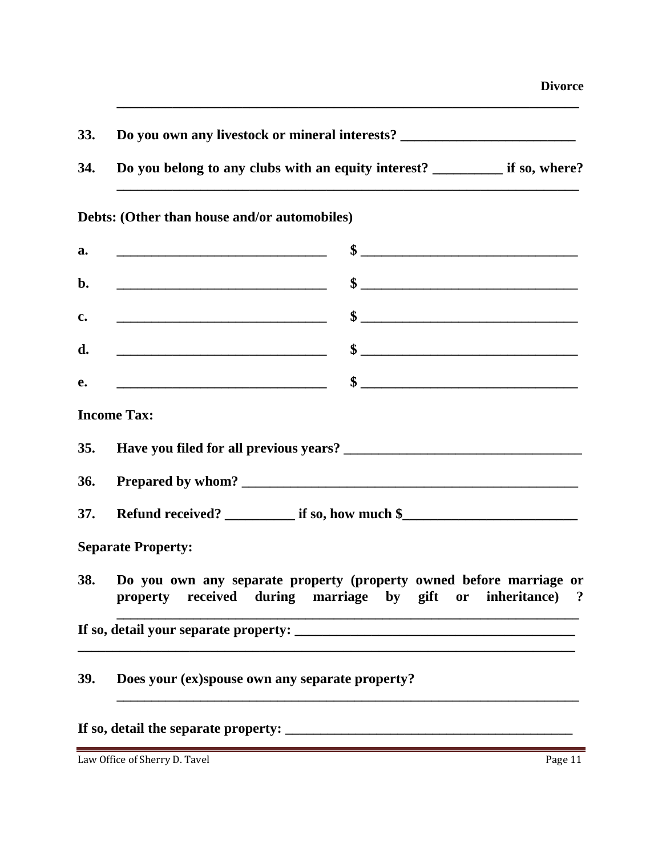| <b>33.</b> | Do you own any livestock or mineral interests?      |               |
|------------|-----------------------------------------------------|---------------|
| <b>34.</b> | Do you belong to any clubs with an equity interest? | if so, where? |

**\_\_\_\_\_\_\_\_\_\_\_\_\_\_\_\_\_\_\_\_\_\_\_\_\_\_\_\_\_\_\_\_\_\_\_\_\_\_\_\_\_\_\_\_\_\_\_\_\_\_\_\_\_\_\_\_\_\_\_\_\_\_\_\_\_\_**

#### **Debts: (Other than house and/or automobiles)**

| a.         | \$<br><u> 1989 - Johann Harry Harry Harry Harry Harry Harry Harry Harry Harry Harry Harry Harry Harry Harry Harry Harry</u>                                                                                                                                                                                                                                                                             |
|------------|---------------------------------------------------------------------------------------------------------------------------------------------------------------------------------------------------------------------------------------------------------------------------------------------------------------------------------------------------------------------------------------------------------|
| b.         | $\sim$                                                                                                                                                                                                                                                                                                                                                                                                  |
| c.         | $\sim$                                                                                                                                                                                                                                                                                                                                                                                                  |
| d.         | $\frac{\frac{1}{2} + \frac{1}{2} + \frac{1}{2} + \frac{1}{2} + \frac{1}{2} + \frac{1}{2} + \frac{1}{2} + \frac{1}{2} + \frac{1}{2} + \frac{1}{2} + \frac{1}{2} + \frac{1}{2} + \frac{1}{2} + \frac{1}{2} + \frac{1}{2} + \frac{1}{2} + \frac{1}{2} + \frac{1}{2} + \frac{1}{2} + \frac{1}{2} + \frac{1}{2} + \frac{1}{2} + \frac{1}{2} + \frac{1}{2} + \frac{1}{2} + \frac{1}{2} + \frac{1}{2} + \frac$ |
| e.         | $\frac{\frac{1}{2} + \frac{1}{2} + \frac{1}{2} + \frac{1}{2} + \frac{1}{2} + \frac{1}{2} + \frac{1}{2} + \frac{1}{2} + \frac{1}{2} + \frac{1}{2} + \frac{1}{2} + \frac{1}{2} + \frac{1}{2} + \frac{1}{2} + \frac{1}{2} + \frac{1}{2} + \frac{1}{2} + \frac{1}{2} + \frac{1}{2} + \frac{1}{2} + \frac{1}{2} + \frac{1}{2} + \frac{1}{2} + \frac{1}{2} + \frac{1}{2} + \frac{1}{2} + \frac{1}{2} + \frac$ |
|            | <b>Income Tax:</b>                                                                                                                                                                                                                                                                                                                                                                                      |
| 35.        |                                                                                                                                                                                                                                                                                                                                                                                                         |
| 36.        |                                                                                                                                                                                                                                                                                                                                                                                                         |
| 37.        | Refund received? ___________ if so, how much \$___________________________________                                                                                                                                                                                                                                                                                                                      |
|            | <b>Separate Property:</b>                                                                                                                                                                                                                                                                                                                                                                               |
| <b>38.</b> | Do you own any separate property (property owned before marriage or<br>property received during marriage by gift or inheritance) ?                                                                                                                                                                                                                                                                      |
|            |                                                                                                                                                                                                                                                                                                                                                                                                         |
| 39.        | Does your (ex)spouse own any separate property?                                                                                                                                                                                                                                                                                                                                                         |

#### **If so, detail the separate property: \_\_\_\_\_\_\_\_\_\_\_\_\_\_\_\_\_\_\_\_\_\_\_\_\_\_\_\_\_\_\_\_\_\_\_\_\_\_\_\_\_**

Law Office of Sherry D. Tavel Page 11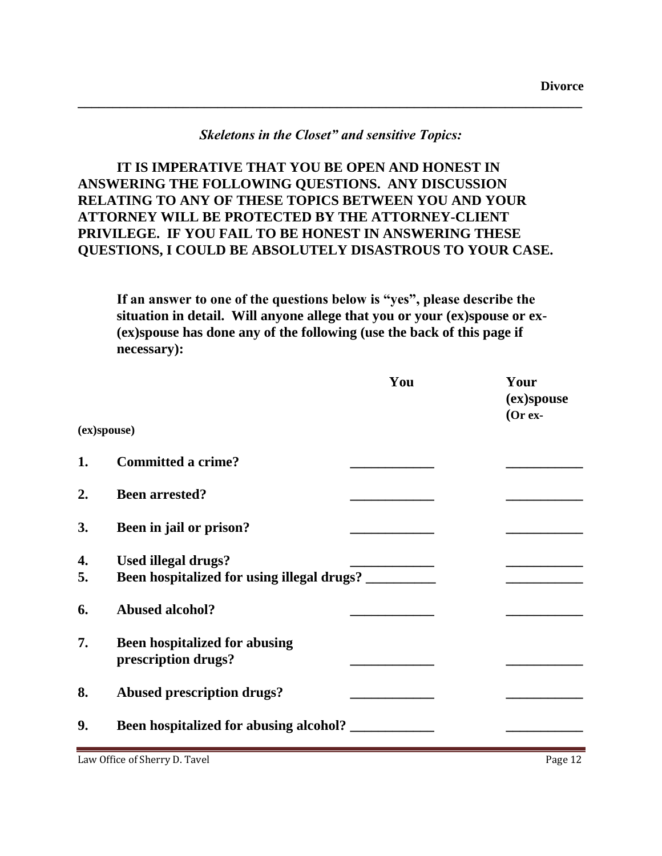#### *Skeletons in the Closet" and sensitive Topics:*

**\_\_\_\_\_\_\_\_\_\_\_\_\_\_\_\_\_\_\_\_\_\_\_\_\_\_\_\_\_\_\_\_\_\_\_\_\_\_\_\_\_\_\_\_\_\_\_\_\_\_\_\_\_\_\_\_\_\_\_\_\_\_\_\_\_\_\_\_\_\_\_\_**

**IT IS IMPERATIVE THAT YOU BE OPEN AND HONEST IN ANSWERING THE FOLLOWING QUESTIONS. ANY DISCUSSION RELATING TO ANY OF THESE TOPICS BETWEEN YOU AND YOUR ATTORNEY WILL BE PROTECTED BY THE ATTORNEY-CLIENT PRIVILEGE. IF YOU FAIL TO BE HONEST IN ANSWERING THESE QUESTIONS, I COULD BE ABSOLUTELY DISASTROUS TO YOUR CASE.**

**If an answer to one of the questions below is "yes", please describe the situation in detail. Will anyone allege that you or your (ex)spouse or ex- (ex)spouse has done any of the following (use the back of this page if necessary):**

|             |                                                                          | You | Your<br>(ex)spouse<br>$(Or ex-$ |
|-------------|--------------------------------------------------------------------------|-----|---------------------------------|
| (ex)spouse) |                                                                          |     |                                 |
| 1.          | <b>Committed a crime?</b>                                                |     |                                 |
| 2.          | <b>Been arrested?</b>                                                    |     |                                 |
| 3.          | Been in jail or prison?                                                  |     |                                 |
| 4.<br>5.    | <b>Used illegal drugs?</b><br>Been hospitalized for using illegal drugs? |     |                                 |
| 6.          | <b>Abused alcohol?</b>                                                   |     |                                 |
| 7.          | <b>Been hospitalized for abusing</b><br>prescription drugs?              |     |                                 |
| 8.          | <b>Abused prescription drugs?</b>                                        |     |                                 |
| 9.          | Been hospitalized for abusing alcohol?                                   |     |                                 |

Law Office of Sherry D. Tavel **Page 12**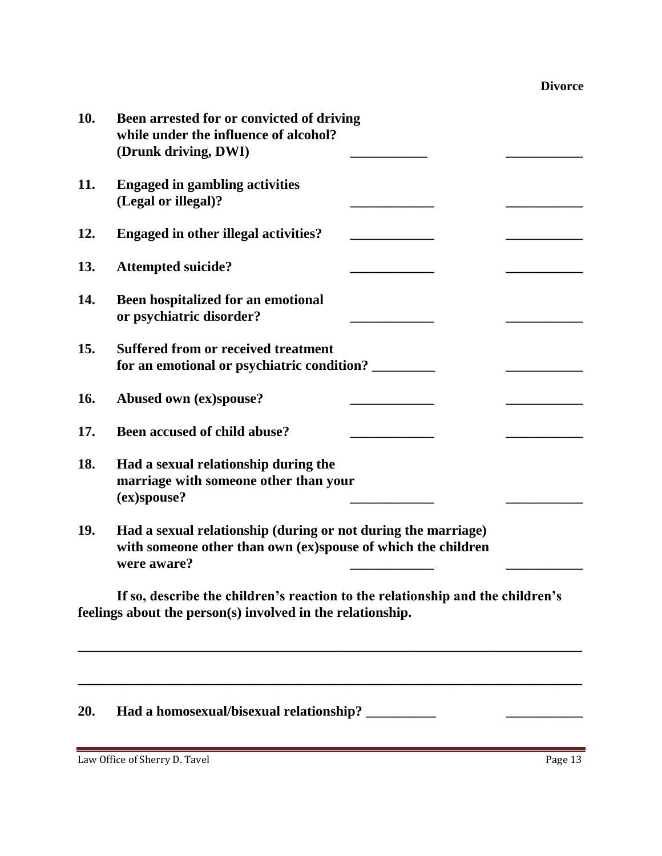| 10. | Been arrested for or convicted of driving<br>while under the influence of alcohol?<br>(Drunk driving, DWI)                                   |
|-----|----------------------------------------------------------------------------------------------------------------------------------------------|
| 11. | <b>Engaged in gambling activities</b><br>(Legal or illegal)?                                                                                 |
| 12. | <b>Engaged in other illegal activities?</b>                                                                                                  |
| 13. | <b>Attempted suicide?</b>                                                                                                                    |
| 14. | Been hospitalized for an emotional<br>or psychiatric disorder?                                                                               |
| 15. | <b>Suffered from or received treatment</b><br>for an emotional or psychiatric condition?                                                     |
| 16. | Abused own (ex)spouse?                                                                                                                       |
| 17. | Been accused of child abuse?                                                                                                                 |
| 18. | Had a sexual relationship during the<br>marriage with someone other than your<br>(ex)spouse?                                                 |
| 19. | Had a sexual relationship (during or not during the marriage)<br>with someone other than own (ex)spouse of which the children<br>were aware? |
|     | If so, describe the children's reaction to the relationship and the children's<br>feelings about the person(s) involved in the relationship. |
| 20. | Had a homosexual/bisexual relationship? __                                                                                                   |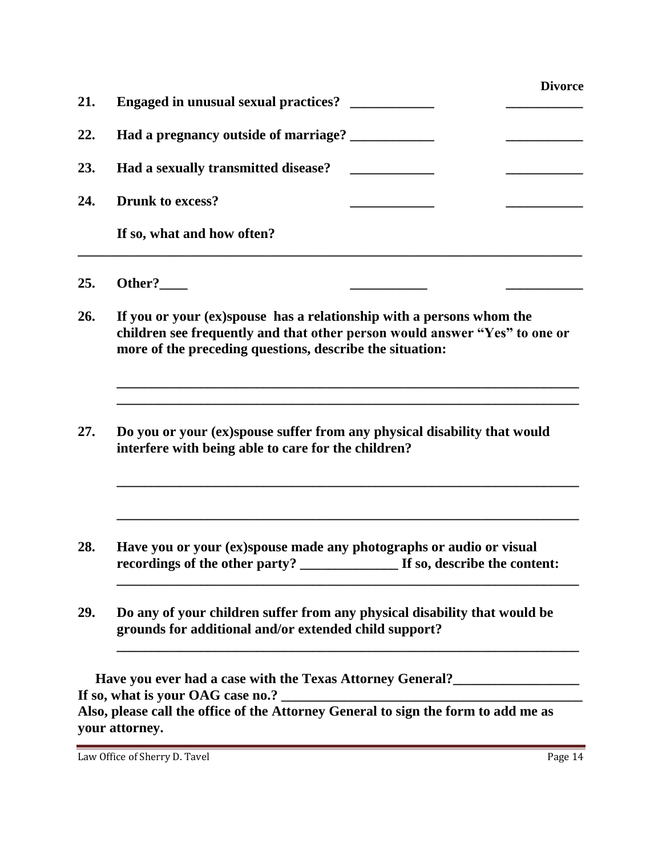| 21. | <b>Engaged in unusual sexual practices?</b>                                                                                                                                                                    | <b>Divorce</b> |  |  |
|-----|----------------------------------------------------------------------------------------------------------------------------------------------------------------------------------------------------------------|----------------|--|--|
| 22. | Had a pregnancy outside of marriage? ____________                                                                                                                                                              |                |  |  |
| 23. | Had a sexually transmitted disease?                                                                                                                                                                            |                |  |  |
| 24. | <b>Drunk to excess?</b>                                                                                                                                                                                        |                |  |  |
|     | If so, what and how often?                                                                                                                                                                                     |                |  |  |
| 25. | Other?                                                                                                                                                                                                         |                |  |  |
| 26. | If you or your (ex)spouse has a relationship with a persons whom the<br>children see frequently and that other person would answer "Yes" to one or<br>more of the preceding questions, describe the situation: |                |  |  |
| 27. | Do you or your (ex)spouse suffer from any physical disability that would<br>interfere with being able to care for the children?                                                                                |                |  |  |
| 28. | Have you or your (ex)spouse made any photographs or audio or visual<br>recordings of the other party?<br>If so, describe the content:                                                                          |                |  |  |
| 29. | Do any of your children suffer from any physical disability that would be<br>grounds for additional and/or extended child support?                                                                             |                |  |  |
|     | Have you ever had a case with the Texas Attorney General?________________________                                                                                                                              |                |  |  |
|     | Also, please call the office of the Attorney General to sign the form to add me as<br>your attorney.                                                                                                           |                |  |  |